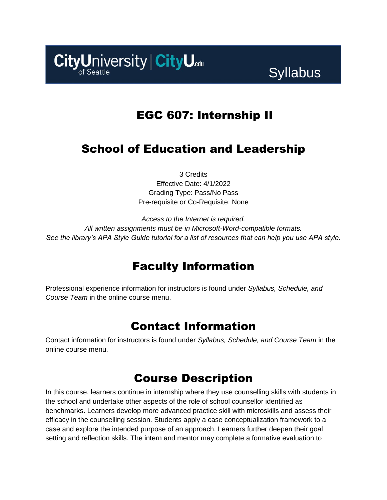CityUniversity | CityU.edu

# **Syllabus**

# EGC 607: Internship II

# School of Education and Leadership

3 Credits Effective Date: 4/1/2022 Grading Type: Pass/No Pass Pre-requisite or Co-Requisite: None

*Access to the Internet is required. All written assignments must be in Microsoft-Word-compatible formats. See the library's APA Style Guide tutorial for a list of resources that can help you use APA style.*

# Faculty Information

Professional experience information for instructors is found under *Syllabus, Schedule, and Course Team* in the online course menu.

# Contact Information

Contact information for instructors is found under *Syllabus, Schedule, and Course Team* in the online course menu.

# Course Description

In this course, learners continue in internship where they use counselling skills with students in the school and undertake other aspects of the role of school counsellor identified as benchmarks. Learners develop more advanced practice skill with microskills and assess their efficacy in the counselling session. Students apply a case conceptualization framework to a case and explore the intended purpose of an approach. Learners further deepen their goal setting and reflection skills. The intern and mentor may complete a formative evaluation to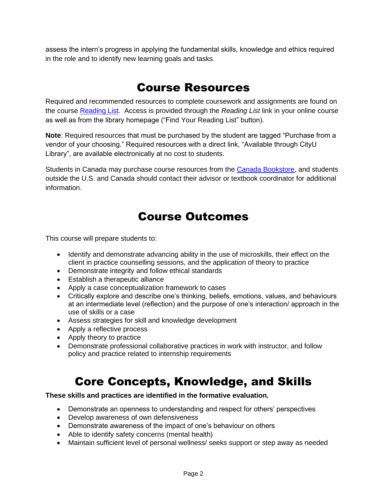assess the intern's progress in applying the fundamental skills, knowledge and ethics required in the role and to identify new learning goals and tasks.

## Course Resources

Required and recommended resources to complete coursework and assignments are found on the course [Reading List.](https://cityu.alma.exlibrisgroup.com/leganto/login?auth=SAML) Access is provided through the *Reading List* link in your online course as well as from the library homepage ("Find Your Reading List" button).

**Note**: Required resources that must be purchased by the student are tagged "Purchase from a vendor of your choosing." Required resources with a direct link, "Available through CityU Library", are available electronically at no cost to students.

Students in Canada may purchase course resources from the [Canada Bookstore,](https://www.cityubookstore.ca/index.asp) and students outside the U.S. and Canada should contact their advisor or textbook coordinator for additional information.

# Course Outcomes

This course will prepare students to:

- Identify and demonstrate advancing ability in the use of microskills, their effect on the client in practice counselling sessions, and the application of theory to practice
- Demonstrate integrity and follow ethical standards
- Establish a therapeutic alliance
- Apply a case conceptualization framework to cases
- Critically explore and describe one's thinking, beliefs, emotions, values, and behaviours at an intermediate level (reflection) and the purpose of one's interaction/ approach in the use of skills or a case
- Assess strategies for skill and knowledge development
- Apply a reflective process
- Apply theory to practice
- Demonstrate professional collaborative practices in work with instructor, and follow policy and practice related to internship requirements

# Core Concepts, Knowledge, and Skills

#### **These skills and practices are identified in the formative evaluation.**

- Demonstrate an openness to understanding and respect for others' perspectives
- Develop awareness of own defensiveness
- Demonstrate awareness of the impact of one's behaviour on others
- Able to identify safety concerns (mental health)
- Maintain sufficient level of personal wellness/ seeks support or step away as needed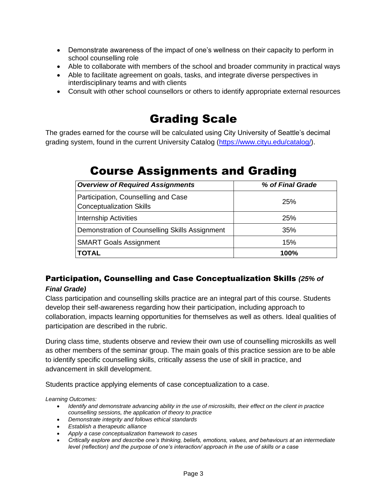- Demonstrate awareness of the impact of one's wellness on their capacity to perform in school counselling role
- Able to collaborate with members of the school and broader community in practical ways
- Able to facilitate agreement on goals, tasks, and integrate diverse perspectives in interdisciplinary teams and with clients
- Consult with other school counsellors or others to identify appropriate external resources

# Grading Scale

The grades earned for the course will be calculated using City University of Seattle's decimal grading system, found in the current University Catalog [\(https://www.cityu.edu/catalog/\)](https://www.cityu.edu/catalog/).

# Course Assignments and Grading

| <b>Overview of Required Assignments</b>                                | % of Final Grade |
|------------------------------------------------------------------------|------------------|
| Participation, Counselling and Case<br><b>Conceptualization Skills</b> | <b>25%</b>       |
| <b>Internship Activities</b>                                           | <b>25%</b>       |
| Demonstration of Counselling Skills Assignment                         | 35%              |
| <b>SMART Goals Assignment</b>                                          | 15%              |
| TOTAL                                                                  | 100%             |

### Participation, Counselling and Case Conceptualization Skills *(25% of*

### *Final Grade)*

Class participation and counselling skills practice are an integral part of this course. Students develop their self-awareness regarding how their participation, including approach to collaboration, impacts learning opportunities for themselves as well as others. Ideal qualities of participation are described in the rubric.

During class time, students observe and review their own use of counselling microskills as well as other members of the seminar group. The main goals of this practice session are to be able to identify specific counselling skills, critically assess the use of skill in practice, and advancement in skill development.

Students practice applying elements of case conceptualization to a case.

*Learning Outcomes:*

- *Identify and demonstrate advancing ability in the use of microskills, their effect on the client in practice counselling sessions, the application of theory to practice*
- *Demonstrate integrity and follows ethical standards*
- *Establish a therapeutic alliance*
- *Apply a case conceptualization framework to cases*
- *Critically explore and describe one's thinking, beliefs, emotions, values, and behaviours at an intermediate level (reflection) and the purpose of one's interaction/ approach in the use of skills or a case*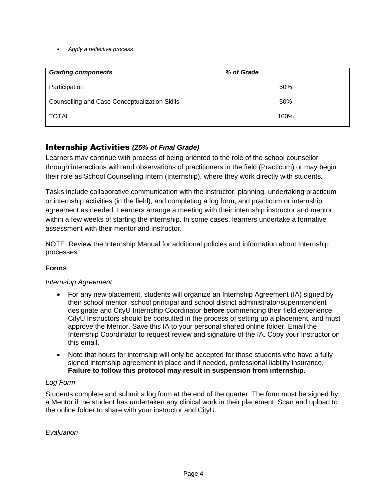#### • *Apply a reflective process*

| <b>Grading components</b>                     | % of Grade |
|-----------------------------------------------|------------|
| Participation                                 | 50%        |
| Counselling and Case Conceptualization Skills | 50%        |
| <b>TOTAL</b>                                  | 100%       |

### Internship Activities *(25% of Final Grade)*

Learners may continue with process of being oriented to the role of the school counsellor through interactions with and observations of practitioners in the field (Practicum) or may begin their role as School Counselling Intern (Internship), where they work directly with students.

Tasks include collaborative communication with the instructor, planning, undertaking practicum or internship activities (in the field), and completing a log form, and practicum or internship agreement as needed. Learners arrange a meeting with their internship instructor and mentor within a few weeks of starting the internship. In some cases, learners undertake a formative assessment with their mentor and instructor.

NOTE: Review the Internship Manual for additional policies and information about Internship processes.

### **Forms**

#### *Internship Agreement*

- For any new placement, students will organize an Internship Agreement (IA) signed by their school mentor, school principal and school district administrator/superintendent designate and CityU Internship Coordinator **before** commencing their field experience. CityU Instructors should be consulted in the process of setting up a placement, and must approve the Mentor. Save this IA to your personal shared online folder. Email the Internship Coordinator to request review and signature of the IA. Copy your Instructor on this email.
- Note that hours for internship will only be accepted for those students who have a fully signed internship agreement in place and if needed, professional liability insurance. **Failure to follow this protocol may result in suspension from internship.**

#### *Log Form*

Students complete and submit a log form at the end of the quarter. The form must be signed by a Mentor if the student has undertaken any clinical work in their placement. Scan and upload to the online folder to share with your instructor and CityU.

*Evaluation*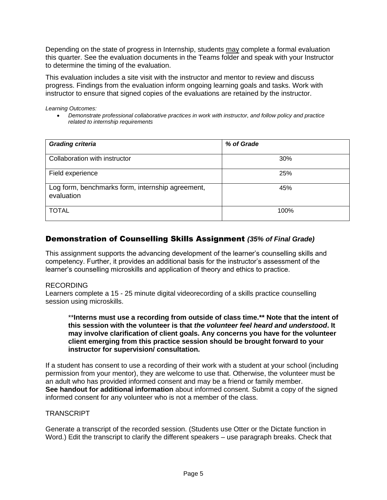Depending on the state of progress in Internship, students may complete a formal evaluation this quarter. See the evaluation documents in the Teams folder and speak with your Instructor to determine the timing of the evaluation.

This evaluation includes a site visit with the instructor and mentor to review and discuss progress. Findings from the evaluation inform ongoing learning goals and tasks. Work with instructor to ensure that signed copies of the evaluations are retained by the instructor.

*Learning Outcomes:*

• *Demonstrate professional collaborative practices in work with instructor, and follow policy and practice related to internship requirements*

| <b>Grading criteria</b>                                        | % of Grade |
|----------------------------------------------------------------|------------|
| Collaboration with instructor                                  | 30%        |
| Field experience                                               | 25%        |
| Log form, benchmarks form, internship agreement,<br>evaluation | 45%        |
| <b>TOTAL</b>                                                   | 100%       |

### Demonstration of Counselling Skills Assignment *(35% of Final Grade)*

This assignment supports the advancing development of the learner's counselling skills and competency. Further, it provides an additional basis for the instructor's assessment of the learner's counselling microskills and application of theory and ethics to practice.

#### RECORDING

Learners complete a 15 - 25 minute digital videorecording of a skills practice counselling session using microskills.

\*\***Interns must use a recording from outside of class time.\*\* Note that the intent of this session with the volunteer is that** *the volunteer feel heard and understood***. It may involve clarification of client goals. Any concerns you have for the volunteer client emerging from this practice session should be brought forward to your instructor for supervision/ consultation.**

If a student has consent to use a recording of their work with a student at your school (including permission from your mentor), they are welcome to use that. Otherwise, the volunteer must be an adult who has provided informed consent and may be a friend or family member. **See handout for additional information** about informed consent. Submit a copy of the signed informed consent for any volunteer who is not a member of the class.

#### **TRANSCRIPT**

Generate a transcript of the recorded session. (Students use Otter or the Dictate function in Word.) Edit the transcript to clarify the different speakers – use paragraph breaks. Check that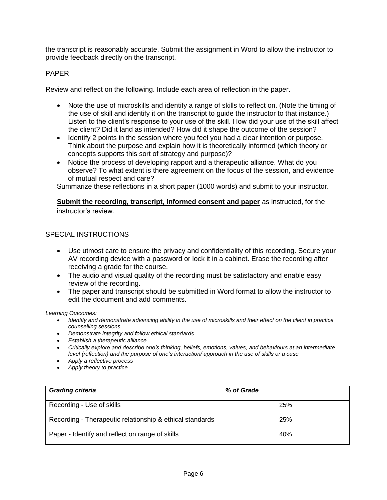the transcript is reasonably accurate. Submit the assignment in Word to allow the instructor to provide feedback directly on the transcript.

#### PAPER

Review and reflect on the following. Include each area of reflection in the paper.

- Note the use of microskills and identify a range of skills to reflect on. (Note the timing of the use of skill and identify it on the transcript to guide the instructor to that instance.) Listen to the client's response to your use of the skill. How did your use of the skill affect the client? Did it land as intended? How did it shape the outcome of the session?
- Identify 2 points in the session where you feel you had a clear intention or purpose. Think about the purpose and explain how it is theoretically informed (which theory or concepts supports this sort of strategy and purpose)?
- Notice the process of developing rapport and a therapeutic alliance. What do you observe? To what extent is there agreement on the focus of the session, and evidence of mutual respect and care?

Summarize these reflections in a short paper (1000 words) and submit to your instructor.

#### **Submit the recording, transcript, informed consent and paper** as instructed, for the instructor's review.

#### SPECIAL INSTRUCTIONS

- Use utmost care to ensure the privacy and confidentiality of this recording. Secure your AV recording device with a password or lock it in a cabinet. Erase the recording after receiving a grade for the course.
- The audio and visual quality of the recording must be satisfactory and enable easy review of the recording.
- The paper and transcript should be submitted in Word format to allow the instructor to edit the document and add comments.

*Learning Outcomes:*

- *Identify and demonstrate advancing ability in the use of microskills and their effect on the client in practice counselling sessions*
- *Demonstrate integrity and follow ethical standards*
- *Establish a therapeutic alliance*
- *Critically explore and describe one's thinking, beliefs, emotions, values, and behaviours at an intermediate level (reflection) and the purpose of one's interaction/ approach in the use of skills or a case*
- *Apply a reflective process*
- *Apply theory to practice*

| <b>Grading criteria</b>                                  | % of Grade |
|----------------------------------------------------------|------------|
| Recording - Use of skills                                | 25%        |
| Recording - Therapeutic relationship & ethical standards | 25%        |
| Paper - Identify and reflect on range of skills          | 40%        |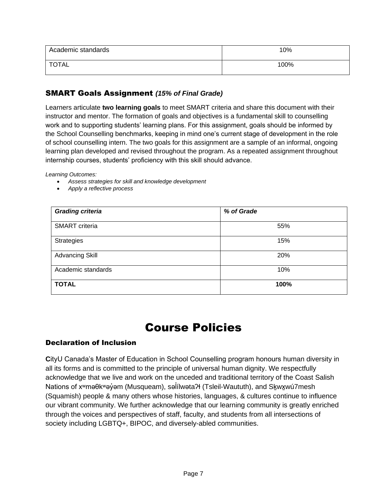| Academic standards | 10%  |
|--------------------|------|
| <b>TOTAL</b>       | 100% |

### SMART Goals Assignment *(15% of Final Grade)*

Learners articulate **two learning goals** to meet SMART criteria and share this document with their instructor and mentor. The formation of goals and objectives is a fundamental skill to counselling work and to supporting students' learning plans. For this assignment, goals should be informed by the School Counselling benchmarks, keeping in mind one's current stage of development in the role of school counselling intern. The two goals for this assignment are a sample of an informal, ongoing learning plan developed and revised throughout the program. As a repeated assignment throughout internship courses, students' proficiency with this skill should advance.

*Learning Outcomes:*

- *Assess strategies for skill and knowledge development*
- *Apply a reflective process*

| <b>Grading criteria</b> | % of Grade |
|-------------------------|------------|
| SMART criteria          | 55%        |
| Strategies              | 15%        |
| <b>Advancing Skill</b>  | 20%        |
| Academic standards      | 10%        |
| <b>TOTAL</b>            | 100%       |

## Course Policies

#### Declaration of Inclusion

**C**ityU Canada's Master of Education in School Counselling program honours human diversity in all its forms and is committed to the principle of universal human dignity. We respectfully acknowledge that we live and work on the unceded and traditional territory of the Coast Salish Nations of xʷməθkʷəỷəm (Musqueam), səİílwətaʔɬ (Tsleil-Waututh), and Sk̪wx̪wú7mesh ̓ (Squamish) people & many others whose histories, languages, & cultures continue to influence our vibrant community. We further acknowledge that our learning community is greatly enriched through the voices and perspectives of staff, faculty, and students from all intersections of society including LGBTQ+, BIPOC, and diversely-abled communities.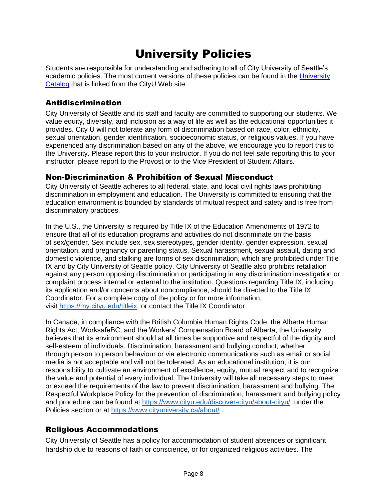# University Policies

Students are responsible for understanding and adhering to all of City University of Seattle's academic policies. The most current versions of these policies can be found in the [University](http://www.cityu.edu/catalog/)  [Catalog](http://www.cityu.edu/catalog/) that is linked from the CityU Web site.

### Antidiscrimination

City University of Seattle and its staff and faculty are committed to supporting our students. We value equity, diversity, and inclusion as a way of life as well as the educational opportunities it provides. City U will not tolerate any form of discrimination based on race, color, ethnicity, sexual orientation, gender identification, socioeconomic status, or religious values. If you have experienced any discrimination based on any of the above, we encourage you to report this to the University. Please report this to your instructor. If you do not feel safe reporting this to your instructor, please report to the Provost or to the Vice President of Student Affairs.

### Non-Discrimination & Prohibition of Sexual Misconduct

City University of Seattle adheres to all federal, state, and local civil rights laws prohibiting discrimination in employment and education. The University is committed to ensuring that the education environment is bounded by standards of mutual respect and safety and is free from discriminatory practices.

In the U.S., the University is required by Title IX of the Education Amendments of 1972 to ensure that all of its education programs and activities do not discriminate on the basis of sex/gender. Sex include sex, sex stereotypes, gender identity, gender expression, sexual orientation, and pregnancy or parenting status. Sexual harassment, sexual assault, dating and domestic violence, and stalking are forms of sex discrimination, which are prohibited under Title IX and by City University of Seattle policy. City University of Seattle also prohibits retaliation against any person opposing discrimination or participating in any discrimination investigation or complaint process internal or external to the institution. Questions regarding Title IX, including its application and/or concerns about noncompliance, should be directed to the Title IX Coordinator. For a complete copy of the policy or for more information, visit [https://my.cityu.edu/titleix](https://nam11.safelinks.protection.outlook.com/?url=https%3A%2F%2Fmy.cityu.edu%2Ftitleix&data=04%7C01%7Cfayelin%40cityu.edu%7C7f48935aca754645d9db08d9845097ae%7Cb3fa96d9f5154662add763d854e39e63%7C1%7C0%7C637686305005518572%7CUnknown%7CTWFpbGZsb3d8eyJWIjoiMC4wLjAwMDAiLCJQIjoiV2luMzIiLCJBTiI6Ik1haWwiLCJXVCI6Mn0%3D%7C1000&sdata=M6YGQcMogtkIvi6Dmpw98mSIyg3YCWTcUGWf9AxaFzw%3D&reserved=0) or contact the Title IX Coordinator.

In Canada, in compliance with the British Columbia Human Rights Code, the Alberta Human Rights Act, WorksafeBC, and the Workers' Compensation Board of Alberta, the University believes that its environment should at all times be supportive and respectful of the dignity and self-esteem of individuals. Discrimination, harassment and bullying conduct, whether through person to person behaviour or via electronic communications such as email or social media is not acceptable and will not be tolerated. As an educational institution, it is our responsibility to cultivate an environment of excellence, equity, mutual respect and to recognize the value and potential of every individual. The University will take all necessary steps to meet or exceed the requirements of the law to prevent discrimination, harassment and bullying. The Respectful Workplace Policy for the prevention of discrimination, harassment and bullying policy and procedure can be found at [https://www.cityu.edu/discover-cityu/about-cityu/](https://nam11.safelinks.protection.outlook.com/?url=https%3A%2F%2Fwww.cityu.edu%2Fdiscover-cityu%2Fabout-cityu%2F&data=04%7C01%7Cfayelin%40cityu.edu%7C7f48935aca754645d9db08d9845097ae%7Cb3fa96d9f5154662add763d854e39e63%7C1%7C0%7C637686305005518572%7CUnknown%7CTWFpbGZsb3d8eyJWIjoiMC4wLjAwMDAiLCJQIjoiV2luMzIiLCJBTiI6Ik1haWwiLCJXVCI6Mn0%3D%7C1000&sdata=GTLq3OuDivni7Kii5dZpuDejuVK5qVoqXI%2F3VyIn0J4%3D&reserved=0) under the Policies section or at [https://www.cityuniversity.ca/about/](https://nam11.safelinks.protection.outlook.com/?url=https%3A%2F%2Fwww.cityuniversity.ca%2Fabout%2F&data=04%7C01%7Cfayelin%40cityu.edu%7C7f48935aca754645d9db08d9845097ae%7Cb3fa96d9f5154662add763d854e39e63%7C1%7C0%7C637686305005528567%7CUnknown%7CTWFpbGZsb3d8eyJWIjoiMC4wLjAwMDAiLCJQIjoiV2luMzIiLCJBTiI6Ik1haWwiLCJXVCI6Mn0%3D%7C1000&sdata=s8ifbyuU6YtUY4jNdskR65dQDseUfZzNW02wRLPsIDo%3D&reserved=0) .

### Religious Accommodations

City University of Seattle has a policy for accommodation of student absences or significant hardship due to reasons of faith or conscience, or for organized religious activities. The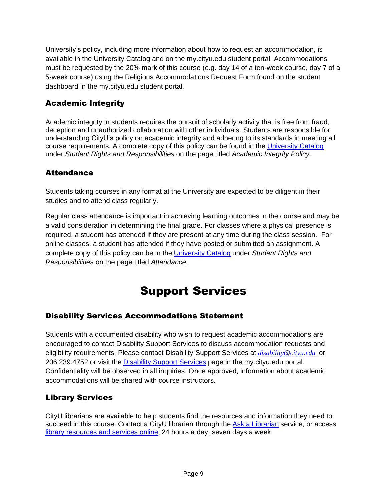University's policy, including more information about how to request an accommodation, is available in the University Catalog and on the my.cityu.edu student portal. Accommodations must be requested by the 20% mark of this course (e.g. day 14 of a ten-week course, day 7 of a 5-week course) using the Religious Accommodations Request Form found on the student dashboard in the my.cityu.edu student portal.

### Academic Integrity

Academic integrity in students requires the pursuit of scholarly activity that is free from fraud, deception and unauthorized collaboration with other individuals. Students are responsible for understanding CityU's policy on academic integrity and adhering to its standards in meeting all course requirements. A complete copy of this policy can be found in the [University Catalog](http://www.cityu.edu/catalog/) under *Student Rights and Responsibilities* on the page titled *Academic Integrity Policy.* 

### **Attendance**

Students taking courses in any format at the University are expected to be diligent in their studies and to attend class regularly.

Regular class attendance is important in achieving learning outcomes in the course and may be a valid consideration in determining the final grade. For classes where a physical presence is required, a student has attended if they are present at any time during the class session. For online classes, a student has attended if they have posted or submitted an assignment. A complete copy of this policy can be in the [University Catalog](http://www.cityu.edu/catalog/) under *Student Rights and Responsibilities* on the page titled *Attendance.*

# Support Services

### Disability Services Accommodations Statement

Students with a documented disability who wish to request academic accommodations are encouraged to contact Disability Support Services to discuss accommodation requests and eligibility requirements. Please contact Disability Support Services at *[disability@cityu.edu](mailto:disability@cityu.edu)* or 206.239.4752 or visit the [Disability Support Services](https://my.cityu.edu/department/disability-support-services/) page in the my.cityu.edu portal. Confidentiality will be observed in all inquiries. Once approved, information about academic accommodations will be shared with course instructors.

### Library Services

CityU librarians are available to help students find the resources and information they need to succeed in this course. Contact a CityU librarian through the [Ask a Librarian](http://library.cityu.edu/ask-a-librarian/) service, or access [library resources and services online](http://library.cityu.edu/), 24 hours a day, seven days a week.